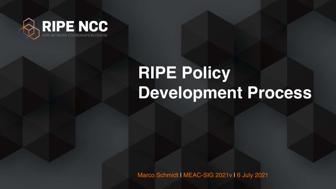Marco Schmidt | MEAC-SIG 2021v | 6 July 2021





### **RIPE Policy Development Process**

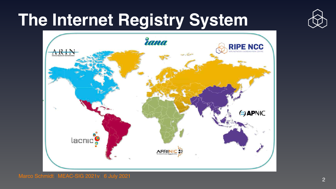### **The Internet Registry System**





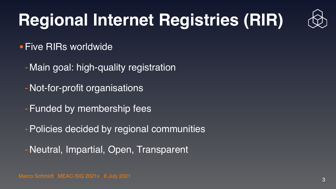Marco Schmidt | MEAC-SIG 2021v | 6 July 2021 <sup>3</sup>



### **Regional Internet Registries (RIR)**

•Five RIRs worldwide

- -Main goal: high-quality registration
- -Not-for-profit organisations
- -Funded by membership fees
- -Policies decided by regional communities
- -Neutral, Impartial, Open, Transparent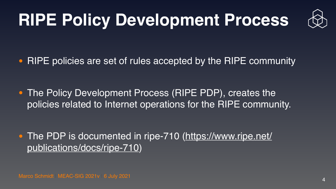# **RIPE Policy Development Process**

#### • RIPE policies are set of rules accepted by the RIPE community

• The PDP is documented in ripe-710 [\(https://www.ripe.net/](https://www.ripe.net/publications/docs/ripe-710) [publications/docs/ripe-710](https://www.ripe.net/publications/docs/ripe-710))

Marco Schmidt | MEAC-SIG 2021v | 6 July 2021



• The Policy Development Process (RIPE PDP), creates the policies related to Internet operations for the RIPE community.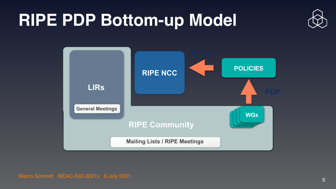5

### **RIPE PDP Bottom-up Model**



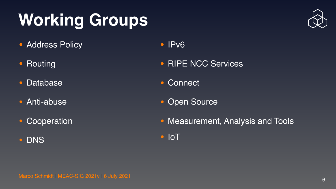Marco Schmidt | MEAC-SIG 2021v | 6 July 2021 <sup>6</sup>



### **Working Groups**

- Address Policy
- Routing
- Database
- Anti-abuse
- Cooperation
- DNS

#### • IPv6

- RIPE NCC Services
- Connect
- Open Source
- Measurement, Analysis and Tools
- IoT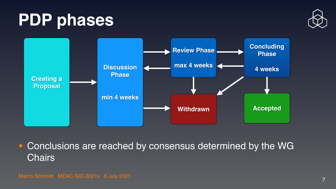#### **PDP phases**

• Conclusions are reached by consensus determined by the WG Chairs



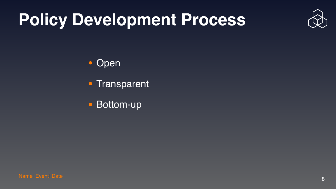### **Policy Development Process**

# • Open • Transparent

• Bottom-up

Name| Event| Date 8 and 2012 19:00 and 20:00 and 20:00 and 20:00 and 20:00 and 20:00 and 20:00 and 30:00 and 3





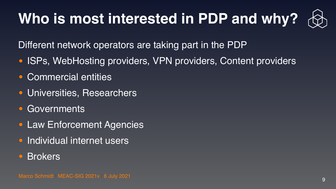### **Who is most interested in PDP and why?**

- Different network operators are taking part in the PDP • ISPs, WebHosting providers, VPN providers, Content providers
- Commercial entities
- Universities, Researchers
- Governments
- Law Enforcement Agencies
- Individual internet users
- Brokers



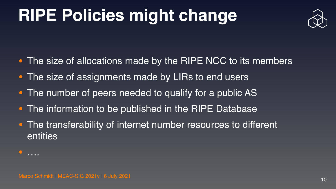Marco Schmidt | MEAC-SIG 2021v | 6 July 2021 <sup>10</sup>

### **RIPE Policies might change**

- The size of allocations made by the RIPE NCC to its members
- The size of assignments made by LIRs to end users
- The number of peers needed to qualify for a public AS
- The information to be published in the RIPE Database
- The transferability of internet number resources to different entities

•

….



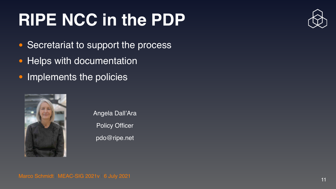### **RIPE NCC in the PDP**

- Secretariat to support the process
- Helps with documentation
- Implements the policies



Angela Dall'Ara **Policy Officer** [pdo@ripe.net](mailto:pdo@ripe.net)

Marco Schmidt | MEAC-SIG 2021v | 6 July 2021 11 | 11 | 12 | 13 | 13 | 14 | 15 | 16 | 16 | 17 | 17 | 17 | 17 | 1



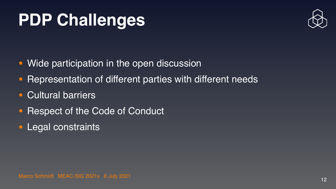### **PDP Challenges**

- Wide participation in the open discussion
- Representation of different parties with different needs
- Cultural barriers
- **Respect of the Code of Conduct**
- Legal constraints

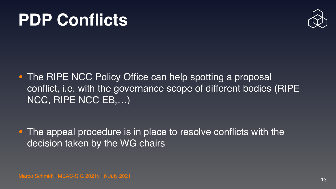#### **PDP Conflicts**

• The RIPE NCC Policy Office can help spotting a proposal NCC, RIPE NCC EB,…)

• The appeal procedure is in place to resolve conflicts with the decision taken by the WG chairs

Marco Schmidt | MEAC-SIG 2021v | 6 July 2021 13



# conflict, i.e. with the governance scope of different bodies (RIPE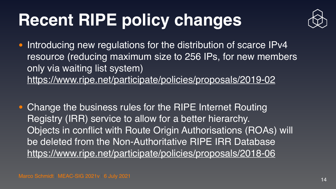## **Recent RIPE policy changes**

• Introducing new regulations for the distribution of scarce IPv4 resource (reducing maximum size to 256 IPs, for new members only via waiting list system) <https://www.ripe.net/participate/policies/proposals/2019-02>

**• Change the business rules for the RIPE Internet Routing** Registry (IRR) service to allow for a better hierarchy. Objects in conflict with Route Origin Authorisations (ROAs) will be deleted from the Non-Authoritative RIPE IRR Database <https://www.ripe.net/participate/policies/proposals/2018-06>

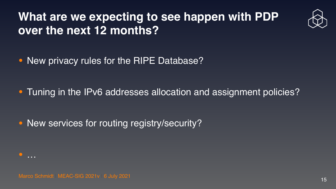#### **What are we expecting to see happen with PDP over the next 12 months?**

• New privacy rules for the RIPE Database?

• New services for routing registry/security?



Marco Schmidt | MEAC-SIG 2021v | 6 July 2021 15





#### • Tuning in the IPv6 addresses allocation and assignment policies?